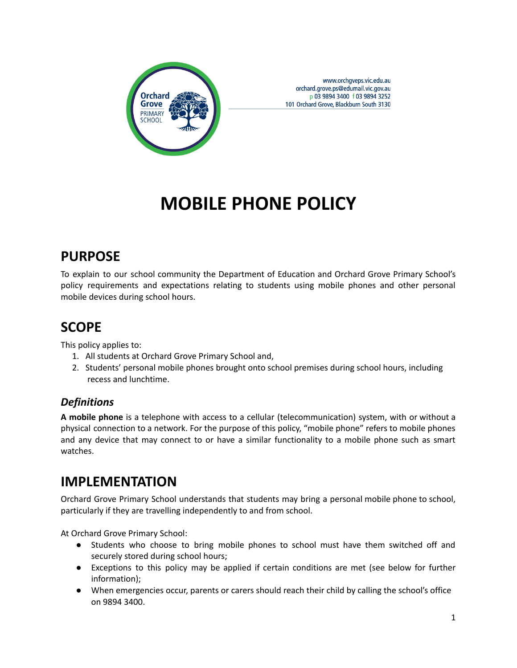

www.orchgveps.vic.edu.au orchard.grove.ps@edumail.vic.gov.au p 03 9894 3400 f 03 9894 3252 101 Orchard Grove, Blackburn South 3130

# **MOBILE PHONE POLICY**

# **PURPOSE**

To explain to our school community the Department of Education and Orchard Grove Primary School's policy requirements and expectations relating to students using mobile phones and other personal mobile devices during school hours.

## **SCOPE**

This policy applies to:

- 1. All students at Orchard Grove Primary School and,
- 2. Students' personal mobile phones brought onto school premises during school hours, including recess and lunchtime.

### *Definitions*

**A mobile phone** is a telephone with access to a cellular (telecommunication) system, with or without a physical connection to a network. For the purpose of this policy, "mobile phone" refers to mobile phones and any device that may connect to or have a similar functionality to a mobile phone such as smart watches.

### **IMPLEMENTATION**

Orchard Grove Primary School understands that students may bring a personal mobile phone to school, particularly if they are travelling independently to and from school.

At Orchard Grove Primary School:

- Students who choose to bring mobile phones to school must have them switched off and securely stored during school hours;
- Exceptions to this policy may be applied if certain conditions are met (see below for further information);
- When emergencies occur, parents or carers should reach their child by calling the school's office on 9894 3400.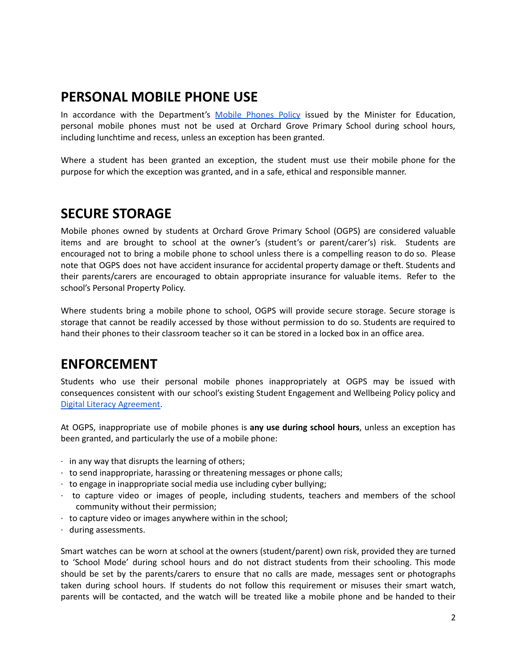### **PERSONAL MOBILE PHONE USE**

In accordance with the Department's Mobile [Phones](https://www.education.vic.gov.au/school/principals/spag/safety/Pages/mobilephones.aspx) Policy issued by the Minister for Education, personal mobile phones must not be used at Orchard Grove Primary School during school hours, including lunchtime and recess, unless an exception has been granted.

Where a student has been granted an exception, the student must use their mobile phone for the purpose for which the exception was granted, and in a safe, ethical and responsible manner.

### **SECURE STORAGE**

Mobile phones owned by students at Orchard Grove Primary School (OGPS) are considered valuable items and are brought to school at the owner's (student's or parent/carer's) risk. Students are encouraged not to bring a mobile phone to school unless there is a compelling reason to do so. Please note that OGPS does not have accident insurance for accidental property damage or theft. Students and their parents/carers are encouraged to obtain appropriate insurance for valuable items. Refer to the school's Personal Property Policy.

Where students bring a mobile phone to school, OGPS will provide secure storage. Secure storage is storage that cannot be readily accessed by those without permission to do so. Students are required to hand their phones to their classroom teacher so it can be stored in a locked box in an office area.

## **ENFORCEMENT**

Students who use their personal mobile phones inappropriately at OGPS may be issued with consequences consistent with our school's existing Student Engagement and Wellbeing Policy policy and Digital Literacy [Agreement.](https://docs.google.com/document/d/1b5IyA9wFi-dMDWNaQIUA4hVmiQmEndV6AxB18SE8RVw/edit)

At OGPS, inappropriate use of mobile phones is **any use during school hours**, unless an exception has been granted, and particularly the use of a mobile phone:

- $\cdot$  in any way that disrupts the learning of others;
- · to send inappropriate, harassing or threatening messages or phone calls;
- $\cdot$  to engage in inappropriate social media use including cyber bullying;
- · to capture video or images of people, including students, teachers and members of the school community without their permission;
- $\cdot$  to capture video or images anywhere within in the school;
- · during assessments.

Smart watches can be worn at school at the owners (student/parent) own risk, provided they are turned to 'School Mode' during school hours and do not distract students from their schooling. This mode should be set by the parents/carers to ensure that no calls are made, messages sent or photographs taken during school hours. If students do not follow this requirement or misuses their smart watch, parents will be contacted, and the watch will be treated like a mobile phone and be handed to their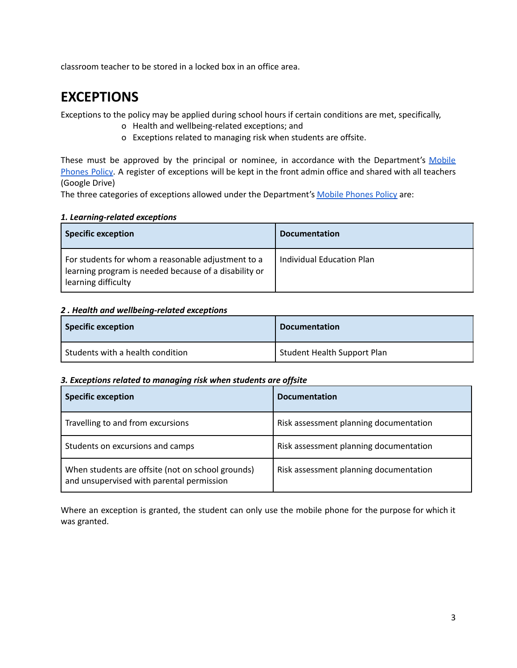classroom teacher to be stored in a locked box in an office area.

### **EXCEPTIONS**

Exceptions to the policy may be applied during school hours if certain conditions are met, specifically,

- o Health and wellbeing-related exceptions; and
- o Exceptions related to managing risk when students are offsite.

These must be approved by the principal or nominee, in accordance with the Department's [Mobile](https://www.education.vic.gov.au/school/principals/spag/safety/Pages/mobilephones.aspx) [Phones](https://www.education.vic.gov.au/school/principals/spag/safety/Pages/mobilephones.aspx) Policy. A register of exceptions will be kept in the front admin office and shared with all teachers (Google Drive)

The three categories of exceptions allowed under the Department's Mobile [Phones](https://www.education.vic.gov.au/school/principals/spag/safety/Pages/mobilephones.aspx) Policy are:

#### *1. Learning-related exceptions*

| <b>Specific exception</b>                                                                                                          | <b>Documentation</b>      |
|------------------------------------------------------------------------------------------------------------------------------------|---------------------------|
| For students for whom a reasonable adjustment to a<br>learning program is needed because of a disability or<br>learning difficulty | Individual Education Plan |

#### *2 . Health and wellbeing-related exceptions*

| <b>Specific exception</b>                     | <b>Documentation</b>               |
|-----------------------------------------------|------------------------------------|
| <sup>I</sup> Students with a health condition | <b>Student Health Support Plan</b> |

#### *3. Exceptions related to managing risk when students are offsite*

| <b>Specific exception</b>                                                                      | <b>Documentation</b>                   |
|------------------------------------------------------------------------------------------------|----------------------------------------|
| Travelling to and from excursions                                                              | Risk assessment planning documentation |
| Students on excursions and camps                                                               | Risk assessment planning documentation |
| When students are offsite (not on school grounds)<br>and unsupervised with parental permission | Risk assessment planning documentation |

Where an exception is granted, the student can only use the mobile phone for the purpose for which it was granted.